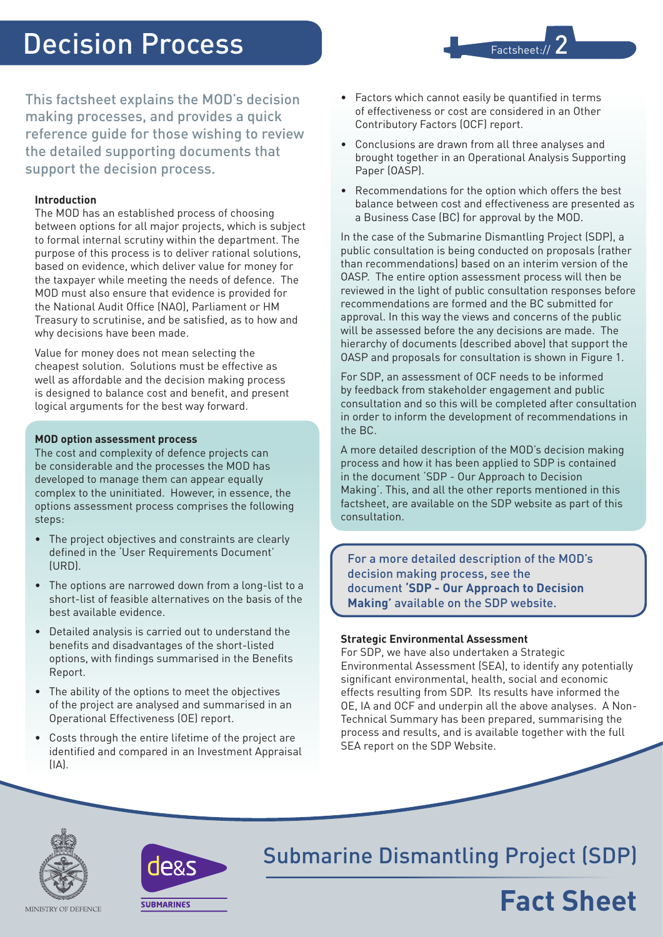# Decision Process

Factsheet:// 2

This factsheet explains the MOD's decision making processes, and provides a quick reference guide for those wishing to review the detailed supporting documents that support the decision process.

## **Introduction**

The MOD has an established process of choosing between options for all major projects, which is subject to formal internal scrutiny within the department. The purpose of this process is to deliver rational solutions, based on evidence, which deliver value for money for the taxpayer while meeting the needs of defence. The MOD must also ensure that evidence is provided for the National Audit Office (NAO), Parliament or HM Treasury to scrutinise, and be satisfied, as to how and why decisions have been made.

Value for money does not mean selecting the cheapest solution. Solutions must be effective as well as affordable and the decision making process is designed to balance cost and benefit, and present logical arguments for the best way forward.

#### **MOD option assessment process**

The cost and complexity of defence projects can be considerable and the processes the MOD has developed to manage them can appear equally complex to the uninitiated. However, in essence, the options assessment process comprises the following steps:

- The project objectives and constraints are clearly defined in the 'User Requirements Document' (URD).
- The options are narrowed down from a long-list to a short-list of feasible alternatives on the basis of the best available evidence.
- • Detailed analysis is carried out to understand the benefits and disadvantages of the short-listed options, with findings summarised in the Benefits Report.
- • The ability of the options to meet the objectives of the project are analysed and summarised in an Operational Effectiveness (OE) report.
- Costs through the entire lifetime of the project are identified and compared in an Investment Appraisal  $[IA]$ .
- • Factors which cannot easily be quantified in terms of effectiveness or cost are considered in an Other Contributory Factors (OCF) report.
- • Conclusions are drawn from all three analyses and brought together in an Operational Analysis Supporting Paper (OASP).
- Recommendations for the option which offers the best balance between cost and effectiveness are presented as a Business Case (BC) for approval by the MOD.

In the case of the Submarine Dismantling Project (SDP), a public consultation is being conducted on proposals (rather than recommendations) based on an interim version of the OASP. The entire option assessment process will then be reviewed in the light of public consultation responses before recommendations are formed and the BC submitted for approval. In this way the views and concerns of the public will be assessed before the any decisions are made. The hierarchy of documents (described above) that support the OASP and proposals for consultation is shown in Figure 1.

For SDP, an assessment of OCF needs to be informed by feedback from stakeholder engagement and public consultation and so this will be completed after consultation in order to inform the development of recommendations in the BC.

A more detailed description of the MOD's decision making process and how it has been applied to SDP is contained in the document 'SDP - Our Approach to Decision Making'. This, and all the other reports mentioned in this factsheet, are available on the SDP website as part of this consultation.

For a more detailed description of the MOD's decision making process, see the document **'SDP - Our Approach to Decision Making'** available on the SDP website.

### **Strategic Environmental Assessment**

For SDP, we have also undertaken a Strategic Environmental Assessment (SEA), to identify any potentially significant environmental, health, social and economic effects resulting from SDP. Its results have informed the OE, IA and OCF and underpin all the above analyses. A Non-Technical Summary has been prepared, summarising the process and results, and is available together with the full SEA report on the SDP Website.





Submarine Dismantling Project (SDP)

# **Fact Sheet**